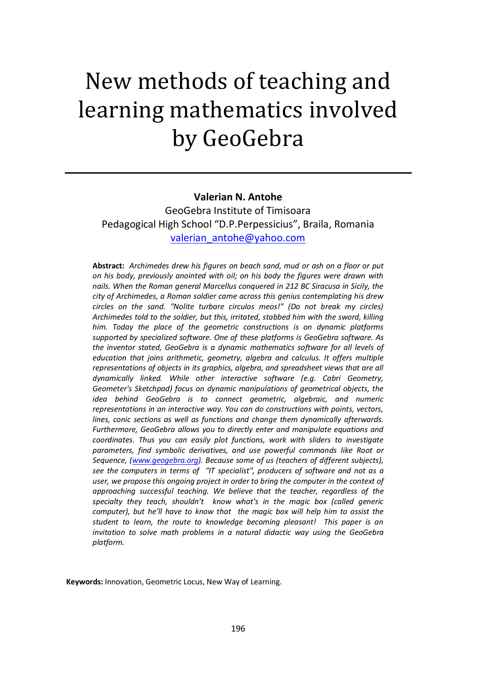# New methods of teaching and learning mathematics involved by GeoGebra

#### **Valerian N. Antohe**

GeoGebra Institute of Timisoara Pedagogical High School "D.P.Perpessicius", Braila, Romania [valerian\\_antohe@yahoo.com](mailto:valerian_antohe@yahoo.com)

**Abstract:** *Archimedes drew his figures on beach sand, mud or ash on a floor or put on his body, previously anointed with oil; on his body the figures were drawn with nails. When the Roman general Marcellus conquered in 212 BC Siracusa in Sicily, the city of Archimedes, a Roman soldier came across this genius contemplating his drew circles on the sand. "Nolite turbare circulos meos!" (Do not break my circles) Archimedes told to the soldier, but this, irritated, stabbed him with the sword, killing him. Today the place of the geometric constructions is on dynamic platforms supported by specialized software. One of these platforms is GeoGebra software. As the inventor stated, GeoGebra is a dynamic mathematics software for all levels of education that joins arithmetic, geometry, algebra and calculus. It offers multiple representations of objects in its graphics, algebra, and spreadsheet views that are all dynamically linked. While other interactive software (e.g. Cabri Geometry, Geometer's Sketchpad) focus on dynamic manipulations of geometrical objects, the idea behind GeoGebra is to connect geometric, algebraic, and numeric representations in an interactive way. You can do constructions with points, vectors, lines, conic sections as well as functions and change them dynamically afterwards. Furthermore, GeoGebra allows you to directly enter and manipulate equations and coordinates. Thus you can easily plot functions, work with sliders to investigate parameters, find symbolic derivatives, and use powerful commands like Root or Sequence, [\(www.geogebra.org\)](http://www.geogebra.org/). Because some of us (teachers of different subjects), see the computers in terms of "IT specialist", producers of software and not as a user, we propose this ongoing project in order to bring the computer in the context of approaching successful teaching. We believe that the teacher, regardless of the specialty they teach, shouldn't know what's in the magic box (called generic computer), but he'll have to know that the magic box will help him to assist the student to learn, the route to knowledge becoming pleasant! This paper is an invitation to solve math problems in a natural didactic way using the GeoGebra platform.*

**Keywords:** Innovation, Geometric Locus, New Way of Learning.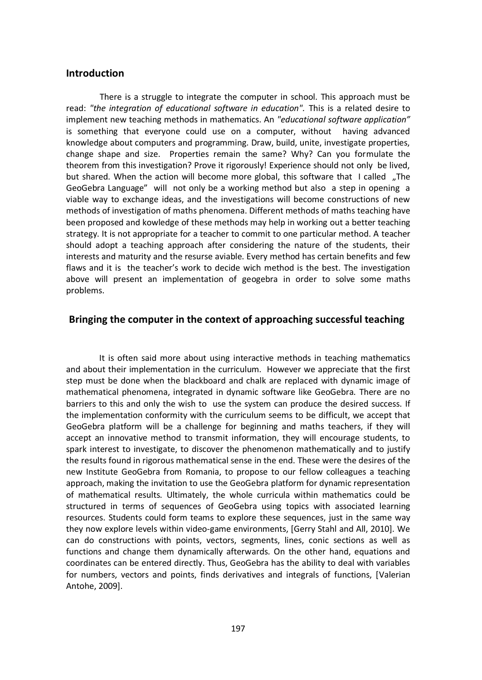## **Introduction**

There is a struggle to integrate the computer in school. This approach must be read: *"the integration of educational software in education".* This is a related desire to implement new teaching methods in mathematics. An *"educational software application"* is something that everyone could use on a computer, without having advanced knowledge about computers and programming. Draw, build, unite, investigate properties, change shape and size. Properties remain the same? Why? Can you formulate the theorem from this investigation? Prove it rigorously! Experience should not only be lived, but shared. When the action will become more global, this software that I called "The GeoGebra Language" will not only be a working method but also a step in opening a viable way to exchange ideas, and the investigations will become constructions of new methods of investigation of maths phenomena. Different methods of maths teaching have been proposed and kowledge of these methods may help in working out a better teaching strategy. It is not appropriate for a teacher to commit to one particular method. A teacher should adopt a teaching approach after considering the nature of the students, their interests and maturity and the resurse aviable. Every method has certain benefits and few flaws and it is the teacher's work to decide wich method is the best. The investigation above will present an implementation of geogebra in order to solve some maths problems.

#### **Bringing the computer in the context of approaching successful teaching**

It is often said more about using interactive methods in teaching mathematics and about their implementation in the curriculum. However we appreciate that the first step must be done when the blackboard and chalk are replaced with dynamic image of mathematical phenomena, integrated in dynamic software like GeoGebra. There are no barriers to this and only the wish to use the system can produce the desired success. If the implementation conformity with the curriculum seems to be difficult, we accept that GeoGebra platform will be a challenge for beginning and maths teachers, if they will accept an innovative method to transmit information, they will encourage students, to spark interest to investigate, to discover the phenomenon mathematically and to justify the results found in rigorous mathematical sense in the end. These were the desires of the new Institute GeoGebra from Romania, to propose to our fellow colleagues a teaching approach, making the invitation to use the GeoGebra platform for dynamic representation of mathematical results. Ultimately, the whole curricula within mathematics could be structured in terms of sequences of GeoGebra using topics with associated learning resources. Students could form teams to explore these sequences, just in the same way they now explore levels within video-game environments, [Gerry Stahl and All, 2010]. We can do constructions with points, vectors, segments, lines, conic sections as well as functions and change them dynamically afterwards. On the other hand, equations and coordinates can be entered directly. Thus, GeoGebra has the ability to deal with variables for numbers, vectors and points, finds derivatives and integrals of functions, [Valerian Antohe, 2009].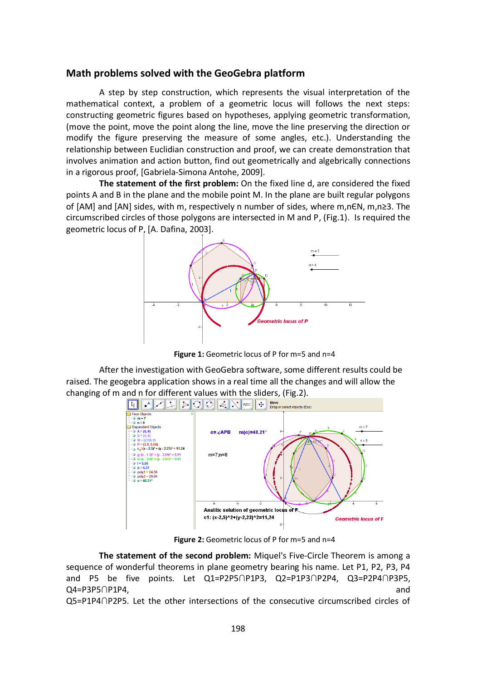## **Math problems solved with the GeoGebra platform**

A step by step construction, which represents the visual interpretation of the mathematical context, a problem of a geometric locus will follows the next steps: constructing geometric figures based on hypotheses, applying geometric transformation, (move the point, move the point along the line, move the line preserving the direction or modify the figure preserving the measure of some angles, etc.). Understanding the relationship between Euclidian construction and proof, we can create demonstration that involves animation and action button, find out geometrically and algebrically connections in a rigorous proof, [Gabriela-Simona Antohe, 2009].

**The statement of the first problem:** On the fixed line d, are considered the fixed points A and B in the plane and the mobile point M. In the plane are built regular polygons of [AM] and [AN] sides, with m, respectively n number of sides, where m,nЄN, m,n≥3. The circumscribed circles of those polygons are intersected in M and P, (Fig.1). Is required the geometric locus of P, [A. Dafina, 2003].



Figure 1: Geometric locus of P for m=5 and n=4

After the investigation with GeoGebra software, some different results could be raised. The geogebra application shows in a real time all the changes and will allow the changing of m and n for different values with the sliders, (Fig.2).



**Figure 2:** Geometric locus of P for m=5 and n=4

**The statement of the second problem:** Miquel's Five-Circle Theorem is among a sequence of wonderful theorems in plane geometry bearing his name. Let P1, P2, P3, P4 and P5 be five points. Let Q1=P2P5∩P1P3, Q2=P1P3∩P2P4, Q3=P2P4∩P3P5, Q4=P3P5∩P1P4, and

Q5=P1P4∩P2P5. Let the other intersections of the consecutive circumscribed circles of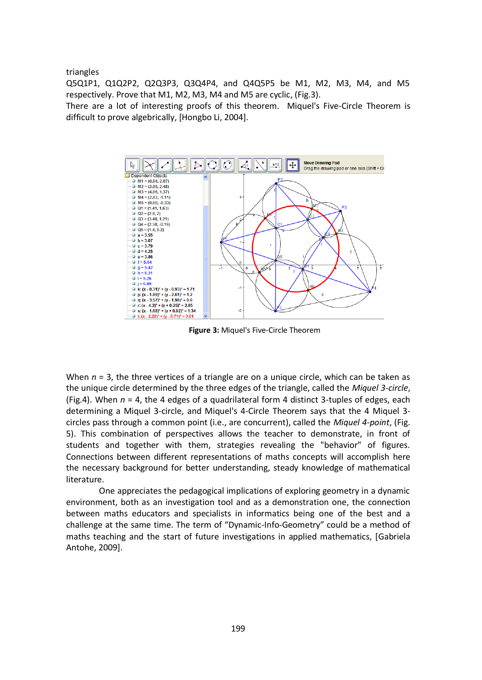triangles

Q5Q1P1, Q1Q2P2, Q2Q3P3, Q3Q4P4, and Q4Q5P5 be M1, M2, M3, M4, and M5 respectively. Prove that M1, M2, M3, M4 and M5 are cyclic, (Fig.3).

There are a lot of interesting proofs of this theorem. Miquel's Five-Circle Theorem is difficult to prove algebrically, [Hongbo Li, 2004].



**Figure 3:** Miquel's Five-Circle Theorem

When  $n = 3$ , the three vertices of a triangle are on a unique circle, which can be taken as the unique circle determined by the three edges of the triangle, called the *Miquel 3-circle*, (Fig.4). When *n* = 4, the 4 edges of a quadrilateral form 4 distinct 3-tuples of edges, each determining a Miquel 3-circle, and Miquel's 4-Circle Theorem says that the 4 Miquel 3 circles pass through a common point (i.e., are concurrent), called the *Miquel 4-point*, (Fig. 5). This combination of perspectives allows the teacher to demonstrate, in front of students and together with them, strategies revealing the "behavior" of figures. Connections between different representations of maths concepts will accomplish here the necessary background for better understanding, steady knowledge of mathematical literature.

One appreciates the pedagogical implications of exploring geometry in a dynamic environment, both as an investigation tool and as a demonstration one, the connection between maths educators and specialists in informatics being one of the best and a challenge at the same time. The term of "Dynamic-Info-Geometry" could be a method of maths teaching and the start of future investigations in applied mathematics, [Gabriela Antohe, 2009].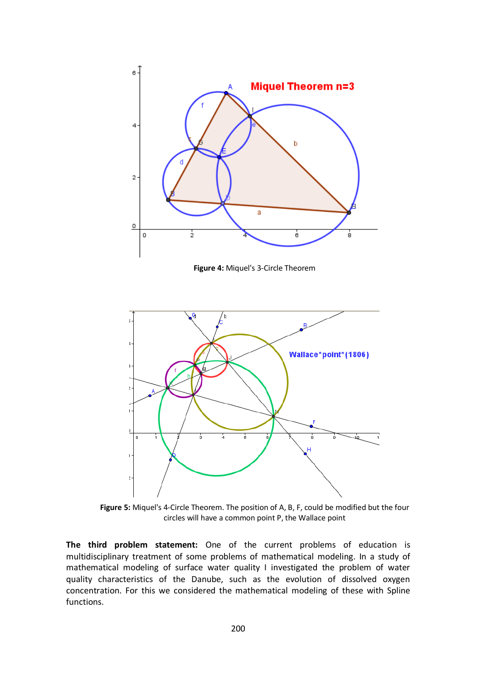

**Figure 4:** Miquel's 3-Circle Theorem



**Figure 5:** Miquel's 4-Circle Theorem. The position of A, B, F, could be modified but the four circles will have a common point P, the Wallace point

**The third problem statement:** One of the current problems of education is multidisciplinary treatment of some problems of mathematical modeling. In a study of mathematical modeling of surface water quality I investigated the problem of water quality characteristics of the Danube, such as the evolution of dissolved oxygen concentration. For this we considered the mathematical modeling of these with Spline functions.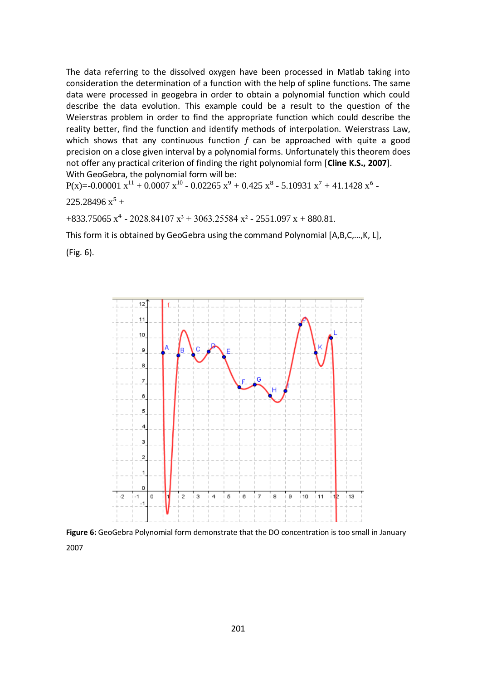The data referring to the dissolved oxygen have been processed in Matlab taking into consideration the determination of a function with the help of spline functions. The same data were processed in geogebra in order to obtain a polynomial function which could describe the data evolution. This example could be a result to the question of the Weierstras problem in order to find the appropriate function which could describe the reality better, find the function and identify methods of interpolation. Weierstrass Law, which shows that any continuous function *f* can be approached with quite a good precision on a close given interval by a polynomial forms. Unfortunately this theorem does not offer any practical criterion of finding the right polynomial form [**Cline K.S., 2007**]. With GeoGebra, the polynomial form will be:

 $P(x)=0.00001 x^{11} + 0.0007 x^{10} - 0.02265 x^9 + 0.425 x^8 - 5.10931 x^7 + 41.1428 x^6$ 

$$
225.28496\ x^5 +
$$

 $+833.75065$  x<sup>4</sup> - 2028.84107 x<sup>3</sup> + 3063.25584 x<sup>2</sup> - 2551.097 x + 880.81.

This form it is obtained by GeoGebra using the command Polynomial [A,B,C,…,K, L],

(Fig. 6).



**Figure 6:** GeoGebra Polynomial form demonstrate that the DO concentration is too small in January 2007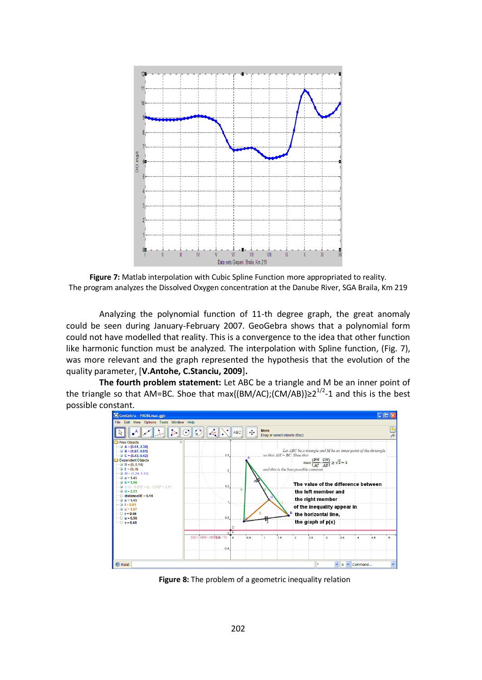![](_page_6_Figure_0.jpeg)

**Figure 7:** Matlab interpolation with Cubic Spline Function more appropriated to reality. The program analyzes the Dissolved Oxygen concentration at the Danube River, SGA Braila, Km 219

Analyzing the polynomial function of 11-th degree graph, the great anomaly could be seen during January-February 2007. GeoGebra shows that a polynomial form could not have modelled that reality. This is a convergence to the idea that other function like harmonic function must be analyzed. The interpolation with Spline function, (Fig. 7), was more relevant and the graph represented the hypothesis that the evolution of the quality parameter, [**V.Antohe, C.Stanciu, 2009**]**.**

**The fourth problem statement:** Let ABC be a triangle and M be an inner point of the triangle so that AM=BC. Shoe that max{(BM/AC);(CM/AB)}≥2<sup>1/2</sup>-1 and this is the best possible constant.

![](_page_6_Figure_4.jpeg)

**Figure 8:** The problem of a geometric inequality relation